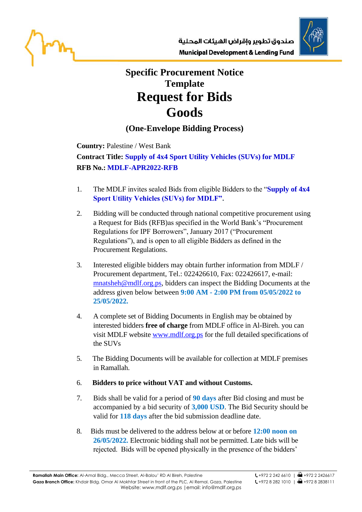



## **Specific Procurement Notice Template Request for Bids Goods**

## **(One-Envelope Bidding Process)**

**Country:** Palestine / West Bank

**Contract Title: Supply of 4x4 Sport Utility Vehicles (SUVs) for MDLF RFB No.: MDLF-APR2022-RFB**

- 1. The MDLF invites sealed Bids from eligible Bidders to the "**Supply of 4x4 Sport Utility Vehicles (SUVs) for MDLF".**
- 2. Bidding will be conducted through national competitive procurement using a Request for Bids (RFB)as specified in the World Bank's "Procurement Regulations for IPF Borrowers", January 2017 ("Procurement Regulations"), and is open to all eligible Bidders as defined in the Procurement Regulations.
- 3. Interested eligible bidders may obtain further information from MDLF / Procurement department, Tel.: 022426610, Fax: 022426617, e-mail: [mnatsheh@mdlf.org.ps,](mailto:mnatsheh@mdlf.org.ps) bidders can inspect the Bidding Documents at the address given below between **9:00 AM - 2:00 PM from 05/05/2022 to 25/05/2022.**
- 4. A complete set of Bidding Documents in English may be obtained by interested bidders **free of charge** from MDLF office in Al-Bireh. you can visit MDLF website [www.mdlf.org.ps](http://www.mdlf.org.ps/) for the full detailed specifications of the SUVs
- 5. The Bidding Documents will be available for collection at MDLF premises in Ramallah.

## 6. **Bidders to price without VAT and without Customs.**

- 7. Bids shall be valid for a period of **90 days** after Bid closing and must be accompanied by a bid security of **3,000 USD**. The Bid Security should be valid for **118 days** after the bid submission deadline date.
- 8. Bids must be delivered to the address below at or before **12:00 noon on 26/05/2022.** Electronic bidding shall not be permitted. Late bids will be rejected. Bids will be opened physically in the presence of the bidders'